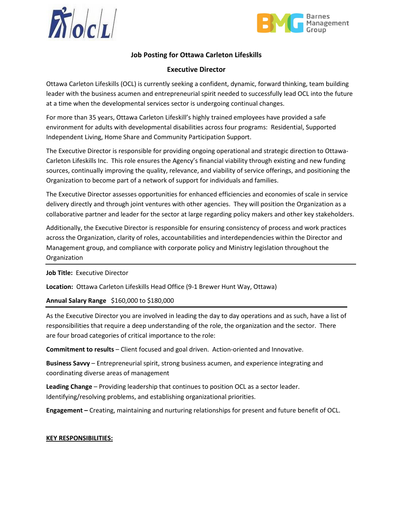



# **Job Posting for Ottawa Carleton Lifeskills**

### **Executive Director**

Ottawa Carleton Lifeskills (OCL) is currently seeking a confident, dynamic, forward thinking, team building leader with the business acumen and entrepreneurial spirit needed to successfully lead OCL into the future at a time when the developmental services sector is undergoing continual changes.

For more than 35 years, Ottawa Carleton Lifeskill's highly trained employees have provided a safe environment for adults with developmental disabilities across four programs: Residential, Supported Independent Living, Home Share and Community Participation Support.

The Executive Director is responsible for providing ongoing operational and strategic direction to Ottawa-Carleton Lifeskills Inc. This role ensures the Agency's financial viability through existing and new funding sources, continually improving the quality, relevance, and viability of service offerings, and positioning the Organization to become part of a network of support for individuals and families.

The Executive Director assesses opportunities for enhanced efficiencies and economies of scale in service delivery directly and through joint ventures with other agencies. They will position the Organization as a collaborative partner and leader for the sector at large regarding policy makers and other key stakeholders.

Additionally, the Executive Director is responsible for ensuring consistency of process and work practices across the Organization, clarity of roles, accountabilities and interdependencies within the Director and Management group, and compliance with corporate policy and Ministry legislation throughout the **Organization** 

**Job Title:** Executive Director

**Location:** Ottawa Carleton Lifeskills Head Office (9-1 Brewer Hunt Way, Ottawa)

**Annual Salary Range** \$160,000 to \$180,000

As the Executive Director you are involved in leading the day to day operations and as such, have a list of responsibilities that require a deep understanding of the role, the organization and the sector. There are four broad categories of critical importance to the role:

**Commitment to results** – Client focused and goal driven. Action-oriented and Innovative.

**Business Savvy** – Entrepreneurial spirit, strong business acumen, and experience integrating and coordinating diverse areas of management

**Leading Change** – Providing leadership that continues to position OCL as a sector leader. Identifying/resolving problems, and establishing organizational priorities.

**Engagement –** Creating, maintaining and nurturing relationships for present and future benefit of OCL.

#### **KEY RESPONSIBILITIES:**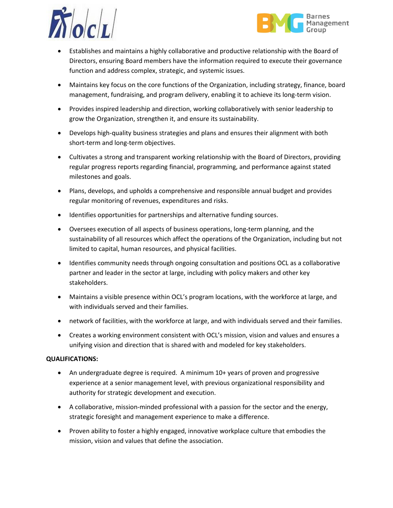



- Establishes and maintains a highly collaborative and productive relationship with the Board of Directors, ensuring Board members have the information required to execute their governance function and address complex, strategic, and systemic issues.
- Maintains key focus on the core functions of the Organization, including strategy, finance, board management, fundraising, and program delivery, enabling it to achieve its long-term vision.
- Provides inspired leadership and direction, working collaboratively with senior leadership to grow the Organization, strengthen it, and ensure its sustainability.
- Develops high-quality business strategies and plans and ensures their alignment with both short-term and long-term objectives.
- Cultivates a strong and transparent working relationship with the Board of Directors, providing regular progress reports regarding financial, programming, and performance against stated milestones and goals.
- Plans, develops, and upholds a comprehensive and responsible annual budget and provides regular monitoring of revenues, expenditures and risks.
- Identifies opportunities for partnerships and alternative funding sources.
- Oversees execution of all aspects of business operations, long-term planning, and the sustainability of all resources which affect the operations of the Organization, including but not limited to capital, human resources, and physical facilities.
- Identifies community needs through ongoing consultation and positions OCL as a collaborative partner and leader in the sector at large, including with policy makers and other key stakeholders.
- Maintains a visible presence within OCL's program locations, with the workforce at large, and with individuals served and their families.
- network of facilities, with the workforce at large, and with individuals served and their families.
- Creates a working environment consistent with OCL's mission, vision and values and ensures a unifying vision and direction that is shared with and modeled for key stakeholders.

## **QUALIFICATIONS:**

- An undergraduate degree is required. A minimum 10+ years of proven and progressive experience at a senior management level, with previous organizational responsibility and authority for strategic development and execution.
- A collaborative, mission-minded professional with a passion for the sector and the energy, strategic foresight and management experience to make a difference.
- Proven ability to foster a highly engaged, innovative workplace culture that embodies the mission, vision and values that define the association.